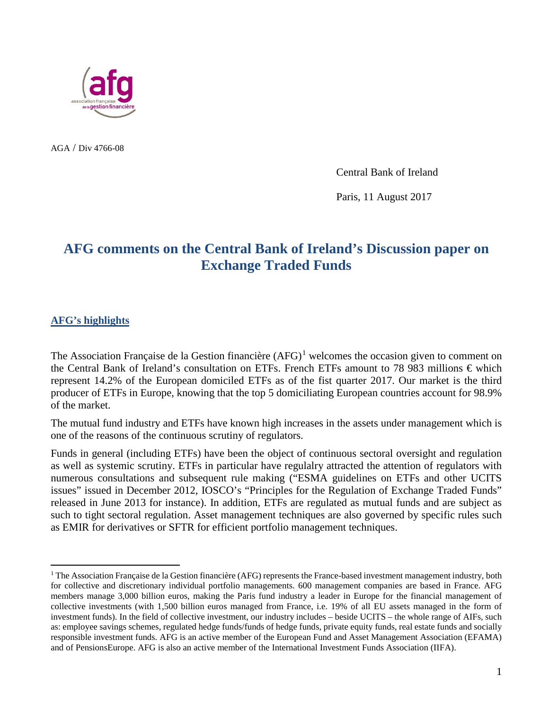

AGA / Div 4766-08

Central Bank of Ireland

Paris, 11 August 2017

# **AFG comments on the Central Bank of Ireland's Discussion paper on Exchange Traded Funds**

#### **AFG's highlights**

The Association Française de la Gestion financière  $(AFG)^1$  $(AFG)^1$  welcomes the occasion given to comment on the Central Bank of Ireland's consultation on ETFs. French ETFs amount to 78 983 millions € which represent 14.2% of the European domiciled ETFs as of the fist quarter 2017. Our market is the third producer of ETFs in Europe, knowing that the top 5 domiciliating European countries account for 98.9% of the market.

The mutual fund industry and ETFs have known high increases in the assets under management which is one of the reasons of the continuous scrutiny of regulators.

Funds in general (including ETFs) have been the object of continuous sectoral oversight and regulation as well as systemic scrutiny. ETFs in particular have regulalry attracted the attention of regulators with numerous consultations and subsequent rule making ("ESMA guidelines on ETFs and other UCITS issues" issued in December 2012, IOSCO's "Principles for the Regulation of Exchange Traded Funds" released in June 2013 for instance). In addition, ETFs are regulated as mutual funds and are subject as such to tight sectoral regulation. Asset management techniques are also governed by specific rules such as EMIR for derivatives or SFTR for efficient portfolio management techniques.

<span id="page-0-0"></span> $<sup>1</sup>$  The Association Française de la Gestion financière (AFG) represents the France-based investment management industry, both</sup> for collective and discretionary individual portfolio managements. 600 management companies are based in France. AFG members manage 3,000 billion euros, making the Paris fund industry a leader in Europe for the financial management of collective investments (with 1,500 billion euros managed from France, i.e. 19% of all EU assets managed in the form of investment funds). In the field of collective investment, our industry includes – beside UCITS – the whole range of AIFs, such as: employee savings schemes, regulated hedge funds/funds of hedge funds, private equity funds, real estate funds and socially responsible investment funds. AFG is an active member of the European Fund and Asset Management Association (EFAMA) and of PensionsEurope. AFG is also an active member of the International Investment Funds Association (IIFA).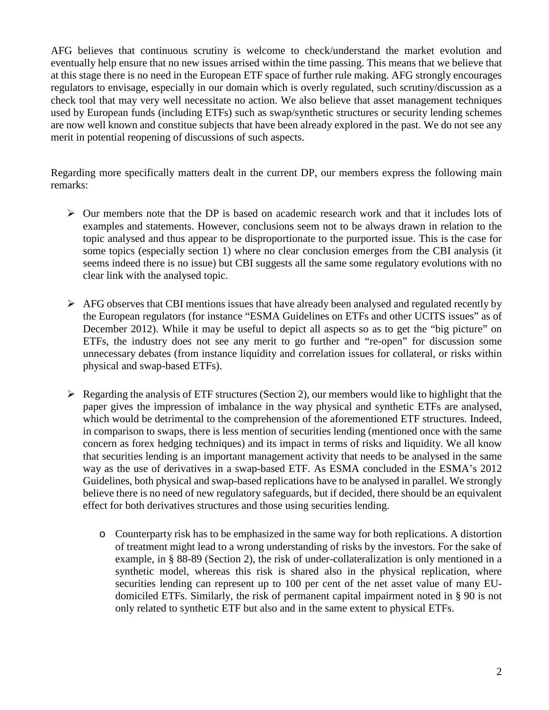AFG believes that continuous scrutiny is welcome to check/understand the market evolution and eventually help ensure that no new issues arrised within the time passing. This means that we believe that at this stage there is no need in the European ETF space of further rule making. AFG strongly encourages regulators to envisage, especially in our domain which is overly regulated, such scrutiny/discussion as a check tool that may very well necessitate no action. We also believe that asset management techniques used by European funds (including ETFs) such as swap/synthetic structures or security lending schemes are now well known and constitue subjects that have been already explored in the past. We do not see any merit in potential reopening of discussions of such aspects.

Regarding more specifically matters dealt in the current DP, our members express the following main remarks:

- $\triangleright$  Our members note that the DP is based on academic research work and that it includes lots of examples and statements. However, conclusions seem not to be always drawn in relation to the topic analysed and thus appear to be disproportionate to the purported issue. This is the case for some topics (especially section 1) where no clear conclusion emerges from the CBI analysis (it seems indeed there is no issue) but CBI suggests all the same some regulatory evolutions with no clear link with the analysed topic.
- $\triangleright$  AFG observes that CBI mentions issues that have already been analysed and regulated recently by the European regulators (for instance "ESMA Guidelines on ETFs and other UCITS issues" as of December 2012). While it may be useful to depict all aspects so as to get the "big picture" on ETFs, the industry does not see any merit to go further and "re-open" for discussion some unnecessary debates (from instance liquidity and correlation issues for collateral, or risks within physical and swap-based ETFs).
- $\triangleright$  Regarding the analysis of ETF structures (Section 2), our members would like to highlight that the paper gives the impression of imbalance in the way physical and synthetic ETFs are analysed, which would be detrimental to the comprehension of the aforementioned ETF structures. Indeed, in comparison to swaps, there is less mention of securities lending (mentioned once with the same concern as forex hedging techniques) and its impact in terms of risks and liquidity. We all know that securities lending is an important management activity that needs to be analysed in the same way as the use of derivatives in a swap-based ETF. As ESMA concluded in the ESMA's 2012 Guidelines, both physical and swap-based replications have to be analysed in parallel. We strongly believe there is no need of new regulatory safeguards, but if decided, there should be an equivalent effect for both derivatives structures and those using securities lending.
	- o Counterparty risk has to be emphasized in the same way for both replications. A distortion of treatment might lead to a wrong understanding of risks by the investors. For the sake of example, in § 88-89 (Section 2), the risk of under-collateralization is only mentioned in a synthetic model, whereas this risk is shared also in the physical replication, where securities lending can represent up to 100 per cent of the net asset value of many EUdomiciled ETFs. Similarly, the risk of permanent capital impairment noted in § 90 is not only related to synthetic ETF but also and in the same extent to physical ETFs.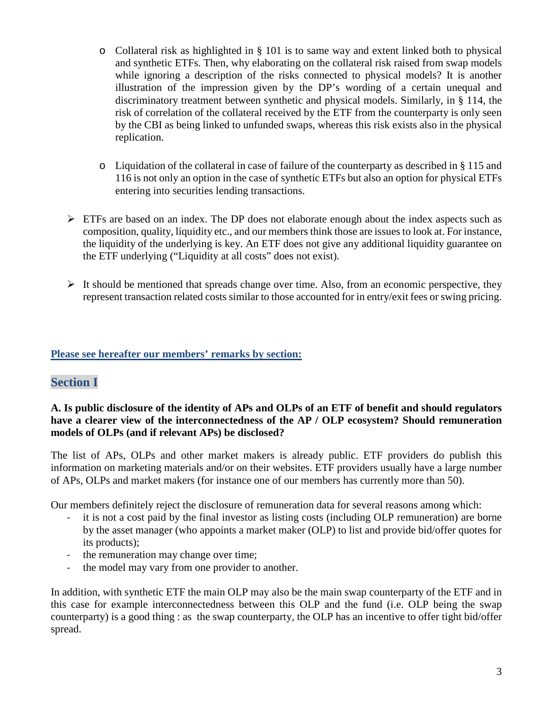- o Collateral risk as highlighted in § 101 is to same way and extent linked both to physical and synthetic ETFs. Then, why elaborating on the collateral risk raised from swap models while ignoring a description of the risks connected to physical models? It is another illustration of the impression given by the DP's wording of a certain unequal and discriminatory treatment between synthetic and physical models. Similarly, in § 114, the risk of correlation of the collateral received by the ETF from the counterparty is only seen by the CBI as being linked to unfunded swaps, whereas this risk exists also in the physical replication.
- o Liquidation of the collateral in case of failure of the counterparty as described in § 115 and 116 is not only an option in the case of synthetic ETFs but also an option for physical ETFs entering into securities lending transactions.
- $\triangleright$  ETFs are based on an index. The DP does not elaborate enough about the index aspects such as composition, quality, liquidity etc., and our members think those are issues to look at. For instance, the liquidity of the underlying is key. An ETF does not give any additional liquidity guarantee on the ETF underlying ("Liquidity at all costs" does not exist).
- $\triangleright$  It should be mentioned that spreads change over time. Also, from an economic perspective, they represent transaction related costs similar to those accounted for in entry/exit fees or swing pricing.

## **Please see hereafter our members' remarks by section:**

# **Section I**

### **A. Is public disclosure of the identity of APs and OLPs of an ETF of benefit and should regulators have a clearer view of the interconnectedness of the AP / OLP ecosystem? Should remuneration models of OLPs (and if relevant APs) be disclosed?**

The list of APs, OLPs and other market makers is already public. ETF providers do publish this information on marketing materials and/or on their websites. ETF providers usually have a large number of APs, OLPs and market makers (for instance one of our members has currently more than 50).

Our members definitely reject the disclosure of remuneration data for several reasons among which:

- it is not a cost paid by the final investor as listing costs (including OLP remuneration) are borne by the asset manager (who appoints a market maker (OLP) to list and provide bid/offer quotes for its products);
- the remuneration may change over time;
- the model may vary from one provider to another.

In addition, with synthetic ETF the main OLP may also be the main swap counterparty of the ETF and in this case for example interconnectedness between this OLP and the fund (i.e. OLP being the swap counterparty) is a good thing : as the swap counterparty, the OLP has an incentive to offer tight bid/offer spread.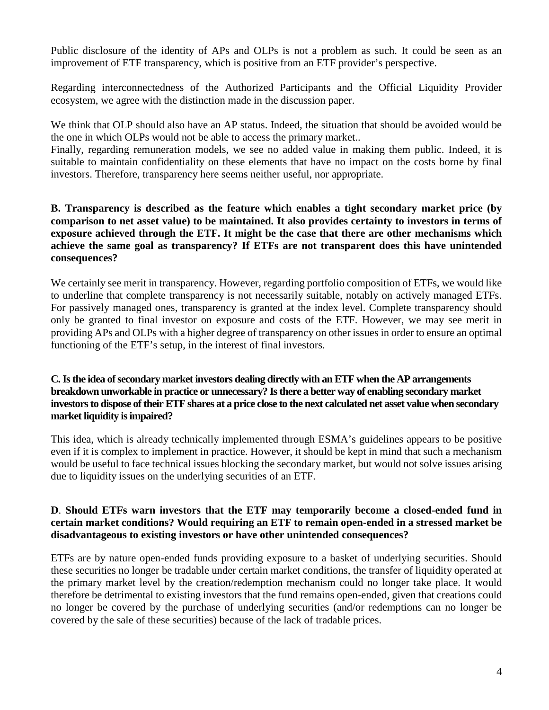Public disclosure of the identity of APs and OLPs is not a problem as such. It could be seen as an improvement of ETF transparency, which is positive from an ETF provider's perspective.

Regarding interconnectedness of the Authorized Participants and the Official Liquidity Provider ecosystem, we agree with the distinction made in the discussion paper.

We think that OLP should also have an AP status. Indeed, the situation that should be avoided would be the one in which OLPs would not be able to access the primary market..

Finally, regarding remuneration models, we see no added value in making them public. Indeed, it is suitable to maintain confidentiality on these elements that have no impact on the costs borne by final investors. Therefore, transparency here seems neither useful, nor appropriate.

### **B. Transparency is described as the feature which enables a tight secondary market price (by comparison to net asset value) to be maintained. It also provides certainty to investors in terms of exposure achieved through the ETF. It might be the case that there are other mechanisms which achieve the same goal as transparency? If ETFs are not transparent does this have unintended consequences?**

We certainly see merit in transparency. However, regarding portfolio composition of ETFs, we would like to underline that complete transparency is not necessarily suitable, notably on actively managed ETFs. For passively managed ones, transparency is granted at the index level. Complete transparency should only be granted to final investor on exposure and costs of the ETF. However, we may see merit in providing APs and OLPs with a higher degree of transparency on other issues in order to ensure an optimal functioning of the ETF's setup, in the interest of final investors.

### **C. Is the idea of secondary market investors dealing directly with an ETF when the AP arrangements breakdown unworkable in practice or unnecessary? Is there a better way of enabling secondary market investors to dispose of their ETF shares at a price close to the next calculated net asset value when secondary market liquidity is impaired?**

This idea, which is already technically implemented through ESMA's guidelines appears to be positive even if it is complex to implement in practice. However, it should be kept in mind that such a mechanism would be useful to face technical issues blocking the secondary market, but would not solve issues arising due to liquidity issues on the underlying securities of an ETF.

### **D**. **Should ETFs warn investors that the ETF may temporarily become a closed-ended fund in certain market conditions? Would requiring an ETF to remain open-ended in a stressed market be disadvantageous to existing investors or have other unintended consequences?**

ETFs are by nature open-ended funds providing exposure to a basket of underlying securities. Should these securities no longer be tradable under certain market conditions, the transfer of liquidity operated at the primary market level by the creation/redemption mechanism could no longer take place. It would therefore be detrimental to existing investors that the fund remains open-ended, given that creations could no longer be covered by the purchase of underlying securities (and/or redemptions can no longer be covered by the sale of these securities) because of the lack of tradable prices.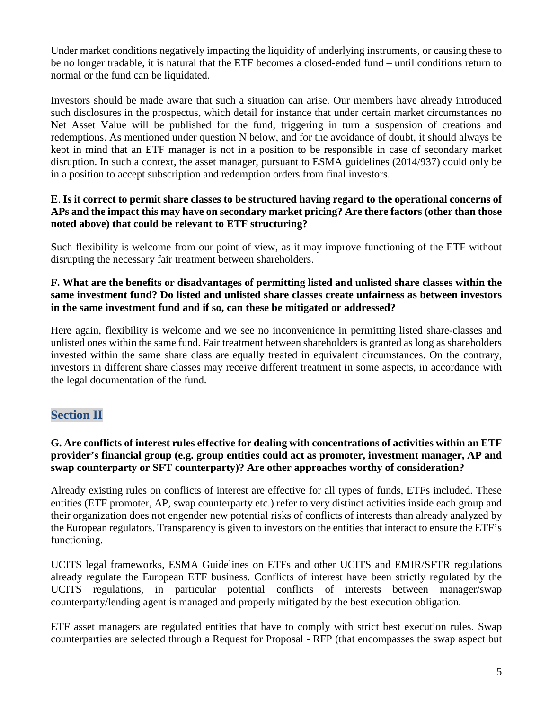Under market conditions negatively impacting the liquidity of underlying instruments, or causing these to be no longer tradable, it is natural that the ETF becomes a closed-ended fund – until conditions return to normal or the fund can be liquidated.

Investors should be made aware that such a situation can arise. Our members have already introduced such disclosures in the prospectus, which detail for instance that under certain market circumstances no Net Asset Value will be published for the fund, triggering in turn a suspension of creations and redemptions. As mentioned under question N below, and for the avoidance of doubt, it should always be kept in mind that an ETF manager is not in a position to be responsible in case of secondary market disruption. In such a context, the asset manager, pursuant to ESMA guidelines (2014/937) could only be in a position to accept subscription and redemption orders from final investors.

## **E**. **Is it correct to permit share classes to be structured having regard to the operational concerns of APs and the impact this may have on secondary market pricing? Are there factors (other than those noted above) that could be relevant to ETF structuring?**

Such flexibility is welcome from our point of view, as it may improve functioning of the ETF without disrupting the necessary fair treatment between shareholders.

### **F. What are the benefits or disadvantages of permitting listed and unlisted share classes within the same investment fund? Do listed and unlisted share classes create unfairness as between investors in the same investment fund and if so, can these be mitigated or addressed?**

Here again, flexibility is welcome and we see no inconvenience in permitting listed share-classes and unlisted ones within the same fund. Fair treatment between shareholders is granted as long as shareholders invested within the same share class are equally treated in equivalent circumstances. On the contrary, investors in different share classes may receive different treatment in some aspects, in accordance with the legal documentation of the fund.

# **Section II**

### **G. Are conflicts of interest rules effective for dealing with concentrations of activities within an ETF provider's financial group (e.g. group entities could act as promoter, investment manager, AP and swap counterparty or SFT counterparty)? Are other approaches worthy of consideration?**

Already existing rules on conflicts of interest are effective for all types of funds, ETFs included. These entities (ETF promoter, AP, swap counterparty etc.) refer to very distinct activities inside each group and their organization does not engender new potential risks of conflicts of interests than already analyzed by the European regulators. Transparency is given to investors on the entities that interact to ensure the ETF's functioning.

UCITS legal frameworks, ESMA Guidelines on ETFs and other UCITS and EMIR/SFTR regulations already regulate the European ETF business. Conflicts of interest have been strictly regulated by the UCITS regulations, in particular potential conflicts of interests between manager/swap counterparty/lending agent is managed and properly mitigated by the best execution obligation.

ETF asset managers are regulated entities that have to comply with strict best execution rules. Swap counterparties are selected through a Request for Proposal - RFP (that encompasses the swap aspect but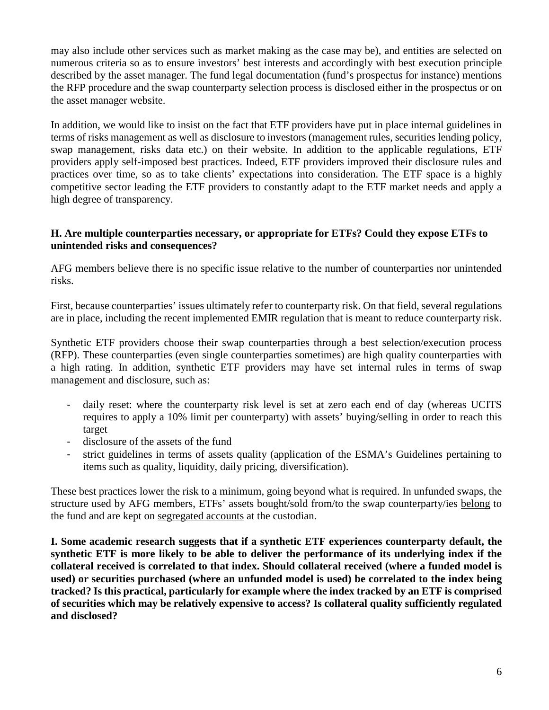may also include other services such as market making as the case may be), and entities are selected on numerous criteria so as to ensure investors' best interests and accordingly with best execution principle described by the asset manager. The fund legal documentation (fund's prospectus for instance) mentions the RFP procedure and the swap counterparty selection process is disclosed either in the prospectus or on the asset manager website.

In addition, we would like to insist on the fact that ETF providers have put in place internal guidelines in terms of risks management as well as disclosure to investors (management rules, securities lending policy, swap management, risks data etc.) on their website. In addition to the applicable regulations, ETF providers apply self-imposed best practices. Indeed, ETF providers improved their disclosure rules and practices over time, so as to take clients' expectations into consideration. The ETF space is a highly competitive sector leading the ETF providers to constantly adapt to the ETF market needs and apply a high degree of transparency.

### **H. Are multiple counterparties necessary, or appropriate for ETFs? Could they expose ETFs to unintended risks and consequences?**

AFG members believe there is no specific issue relative to the number of counterparties nor unintended risks.

First, because counterparties' issues ultimately refer to counterparty risk. On that field, several regulations are in place, including the recent implemented EMIR regulation that is meant to reduce counterparty risk.

Synthetic ETF providers choose their swap counterparties through a best selection/execution process (RFP). These counterparties (even single counterparties sometimes) are high quality counterparties with a high rating. In addition, synthetic ETF providers may have set internal rules in terms of swap management and disclosure, such as:

- daily reset: where the counterparty risk level is set at zero each end of day (whereas UCITS requires to apply a 10% limit per counterparty) with assets' buying/selling in order to reach this target
- disclosure of the assets of the fund
- strict guidelines in terms of assets quality (application of the ESMA's Guidelines pertaining to items such as quality, liquidity, daily pricing, diversification).

These best practices lower the risk to a minimum, going beyond what is required. In unfunded swaps, the structure used by AFG members, ETFs' assets bought/sold from/to the swap counterparty/ies belong to the fund and are kept on segregated accounts at the custodian.

**I. Some academic research suggests that if a synthetic ETF experiences counterparty default, the synthetic ETF is more likely to be able to deliver the performance of its underlying index if the collateral received is correlated to that index. Should collateral received (where a funded model is used) or securities purchased (where an unfunded model is used) be correlated to the index being tracked? Is this practical, particularly for example where the index tracked by an ETF is comprised of securities which may be relatively expensive to access? Is collateral quality sufficiently regulated and disclosed?**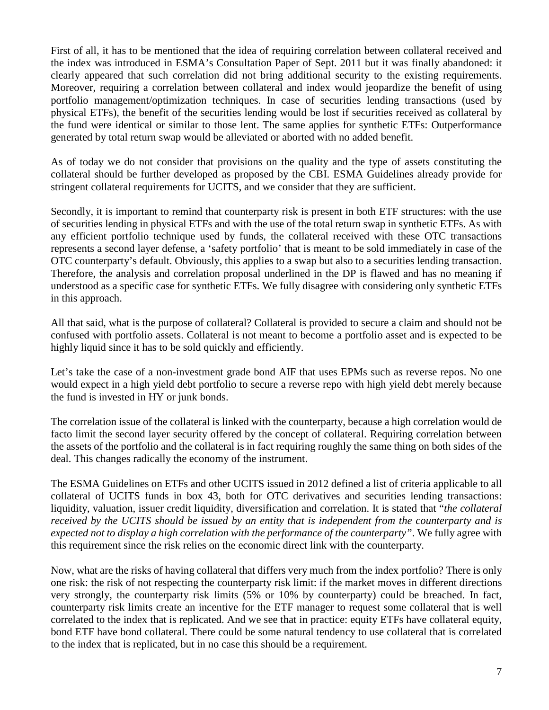First of all, it has to be mentioned that the idea of requiring correlation between collateral received and the index was introduced in ESMA's Consultation Paper of Sept. 2011 but it was finally abandoned: it clearly appeared that such correlation did not bring additional security to the existing requirements. Moreover, requiring a correlation between collateral and index would jeopardize the benefit of using portfolio management/optimization techniques. In case of securities lending transactions (used by physical ETFs), the benefit of the securities lending would be lost if securities received as collateral by the fund were identical or similar to those lent. The same applies for synthetic ETFs: Outperformance generated by total return swap would be alleviated or aborted with no added benefit.

As of today we do not consider that provisions on the quality and the type of assets constituting the collateral should be further developed as proposed by the CBI. ESMA Guidelines already provide for stringent collateral requirements for UCITS, and we consider that they are sufficient.

Secondly, it is important to remind that counterparty risk is present in both ETF structures: with the use of securities lending in physical ETFs and with the use of the total return swap in synthetic ETFs. As with any efficient portfolio technique used by funds, the collateral received with these OTC transactions represents a second layer defense, a 'safety portfolio' that is meant to be sold immediately in case of the OTC counterparty's default. Obviously, this applies to a swap but also to a securities lending transaction. Therefore, the analysis and correlation proposal underlined in the DP is flawed and has no meaning if understood as a specific case for synthetic ETFs. We fully disagree with considering only synthetic ETFs in this approach.

All that said, what is the purpose of collateral? Collateral is provided to secure a claim and should not be confused with portfolio assets. Collateral is not meant to become a portfolio asset and is expected to be highly liquid since it has to be sold quickly and efficiently.

Let's take the case of a non-investment grade bond AIF that uses EPMs such as reverse repos. No one would expect in a high yield debt portfolio to secure a reverse repo with high yield debt merely because the fund is invested in HY or junk bonds.

The correlation issue of the collateral is linked with the counterparty, because a high correlation would de facto limit the second layer security offered by the concept of collateral. Requiring correlation between the assets of the portfolio and the collateral is in fact requiring roughly the same thing on both sides of the deal. This changes radically the economy of the instrument.

The ESMA Guidelines on ETFs and other UCITS issued in 2012 defined a list of criteria applicable to all collateral of UCITS funds in box 43, both for OTC derivatives and securities lending transactions: liquidity, valuation, issuer credit liquidity, diversification and correlation. It is stated that "*the collateral received by the UCITS should be issued by an entity that is independent from the counterparty and is expected not to display a high correlation with the performance of the counterparty"*. We fully agree with this requirement since the risk relies on the economic direct link with the counterparty.

Now, what are the risks of having collateral that differs very much from the index portfolio? There is only one risk: the risk of not respecting the counterparty risk limit: if the market moves in different directions very strongly, the counterparty risk limits (5% or 10% by counterparty) could be breached. In fact, counterparty risk limits create an incentive for the ETF manager to request some collateral that is well correlated to the index that is replicated. And we see that in practice: equity ETFs have collateral equity, bond ETF have bond collateral. There could be some natural tendency to use collateral that is correlated to the index that is replicated, but in no case this should be a requirement.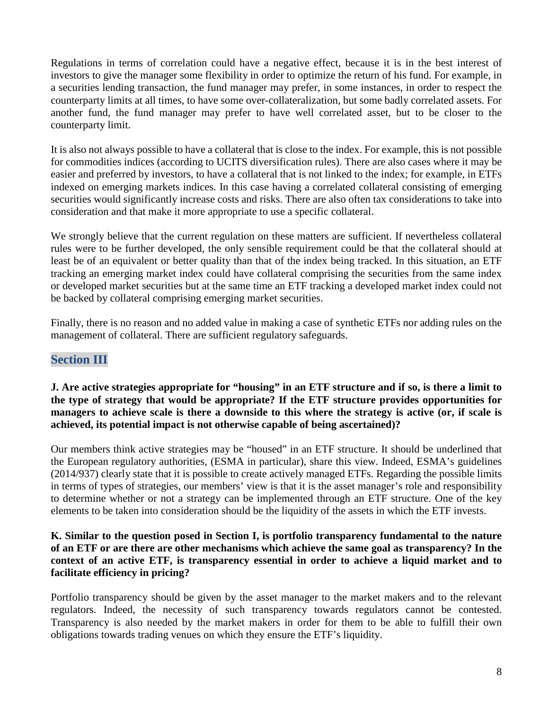Regulations in terms of correlation could have a negative effect, because it is in the best interest of investors to give the manager some flexibility in order to optimize the return of his fund. For example, in a securities lending transaction, the fund manager may prefer, in some instances, in order to respect the counterparty limits at all times, to have some over-collateralization, but some badly correlated assets. For another fund, the fund manager may prefer to have well correlated asset, but to be closer to the counterparty limit.

It is also not always possible to have a collateral that is close to the index. For example, this is not possible for commodities indices (according to UCITS diversification rules). There are also cases where it may be easier and preferred by investors, to have a collateral that is not linked to the index; for example, in ETFs indexed on emerging markets indices. In this case having a correlated collateral consisting of emerging securities would significantly increase costs and risks. There are also often tax considerations to take into consideration and that make it more appropriate to use a specific collateral.

We strongly believe that the current regulation on these matters are sufficient. If nevertheless collateral rules were to be further developed, the only sensible requirement could be that the collateral should at least be of an equivalent or better quality than that of the index being tracked. In this situation, an ETF tracking an emerging market index could have collateral comprising the securities from the same index or developed market securities but at the same time an ETF tracking a developed market index could not be backed by collateral comprising emerging market securities.

Finally, there is no reason and no added value in making a case of synthetic ETFs nor adding rules on the management of collateral. There are sufficient regulatory safeguards.

# **Section III**

### **J. Are active strategies appropriate for "housing" in an ETF structure and if so, is there a limit to the type of strategy that would be appropriate? If the ETF structure provides opportunities for managers to achieve scale is there a downside to this where the strategy is active (or, if scale is achieved, its potential impact is not otherwise capable of being ascertained)?**

Our members think active strategies may be "housed" in an ETF structure. It should be underlined that the European regulatory authorities, (ESMA in particular), share this view. Indeed, ESMA's guidelines (2014/937) clearly state that it is possible to create actively managed ETFs. Regarding the possible limits in terms of types of strategies, our members' view is that it is the asset manager's role and responsibility to determine whether or not a strategy can be implemented through an ETF structure. One of the key elements to be taken into consideration should be the liquidity of the assets in which the ETF invests.

### **K. Similar to the question posed in Section I, is portfolio transparency fundamental to the nature of an ETF or are there are other mechanisms which achieve the same goal as transparency? In the context of an active ETF, is transparency essential in order to achieve a liquid market and to facilitate efficiency in pricing?**

Portfolio transparency should be given by the asset manager to the market makers and to the relevant regulators. Indeed, the necessity of such transparency towards regulators cannot be contested. Transparency is also needed by the market makers in order for them to be able to fulfill their own obligations towards trading venues on which they ensure the ETF's liquidity.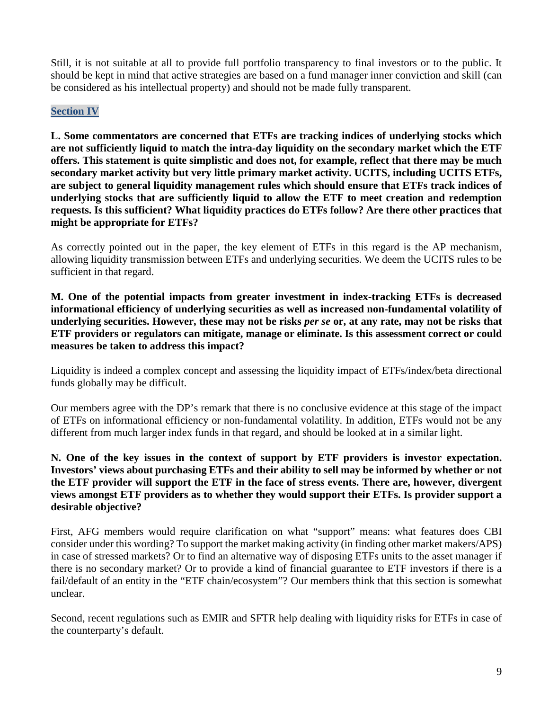Still, it is not suitable at all to provide full portfolio transparency to final investors or to the public. It should be kept in mind that active strategies are based on a fund manager inner conviction and skill (can be considered as his intellectual property) and should not be made fully transparent.

### **Section IV**

**L. Some commentators are concerned that ETFs are tracking indices of underlying stocks which are not sufficiently liquid to match the intra-day liquidity on the secondary market which the ETF offers. This statement is quite simplistic and does not, for example, reflect that there may be much secondary market activity but very little primary market activity. UCITS, including UCITS ETFs, are subject to general liquidity management rules which should ensure that ETFs track indices of underlying stocks that are sufficiently liquid to allow the ETF to meet creation and redemption requests. Is this sufficient? What liquidity practices do ETFs follow? Are there other practices that might be appropriate for ETFs?** 

As correctly pointed out in the paper, the key element of ETFs in this regard is the AP mechanism, allowing liquidity transmission between ETFs and underlying securities. We deem the UCITS rules to be sufficient in that regard.

**M. One of the potential impacts from greater investment in index-tracking ETFs is decreased informational efficiency of underlying securities as well as increased non-fundamental volatility of underlying securities. However, these may not be risks** *per se* **or, at any rate, may not be risks that ETF providers or regulators can mitigate, manage or eliminate. Is this assessment correct or could measures be taken to address this impact?** 

Liquidity is indeed a complex concept and assessing the liquidity impact of ETFs/index/beta directional funds globally may be difficult.

Our members agree with the DP's remark that there is no conclusive evidence at this stage of the impact of ETFs on informational efficiency or non-fundamental volatility. In addition, ETFs would not be any different from much larger index funds in that regard, and should be looked at in a similar light.

**N. One of the key issues in the context of support by ETF providers is investor expectation. Investors' views about purchasing ETFs and their ability to sell may be informed by whether or not the ETF provider will support the ETF in the face of stress events. There are, however, divergent views amongst ETF providers as to whether they would support their ETFs. Is provider support a desirable objective?** 

First, AFG members would require clarification on what "support" means: what features does CBI consider under this wording? To support the market making activity (in finding other market makers/APS) in case of stressed markets? Or to find an alternative way of disposing ETFs units to the asset manager if there is no secondary market? Or to provide a kind of financial guarantee to ETF investors if there is a fail/default of an entity in the "ETF chain/ecosystem"? Our members think that this section is somewhat unclear.

Second, recent regulations such as EMIR and SFTR help dealing with liquidity risks for ETFs in case of the counterparty's default.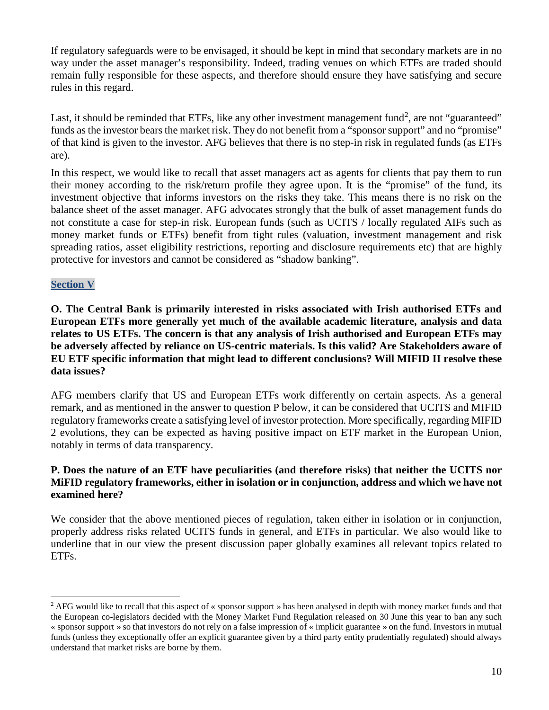If regulatory safeguards were to be envisaged, it should be kept in mind that secondary markets are in no way under the asset manager's responsibility. Indeed, trading venues on which ETFs are traded should remain fully responsible for these aspects, and therefore should ensure they have satisfying and secure rules in this regard.

Last, it should be reminded that ETFs, like any other investment management fund<sup>[2](#page-9-0)</sup>, are not "guaranteed" funds as the investor bears the market risk. They do not benefit from a "sponsor support" and no "promise" of that kind is given to the investor. AFG believes that there is no step-in risk in regulated funds (as ETFs are).

In this respect, we would like to recall that asset managers act as agents for clients that pay them to run their money according to the risk/return profile they agree upon. It is the "promise" of the fund, its investment objective that informs investors on the risks they take. This means there is no risk on the balance sheet of the asset manager. AFG advocates strongly that the bulk of asset management funds do not constitute a case for step-in risk. European funds (such as UCITS / locally regulated AIFs such as money market funds or ETFs) benefit from tight rules (valuation, investment management and risk spreading ratios, asset eligibility restrictions, reporting and disclosure requirements etc) that are highly protective for investors and cannot be considered as "shadow banking".

### **Section V**

**O. The Central Bank is primarily interested in risks associated with Irish authorised ETFs and European ETFs more generally yet much of the available academic literature, analysis and data relates to US ETFs. The concern is that any analysis of Irish authorised and European ETFs may be adversely affected by reliance on US-centric materials. Is this valid? Are Stakeholders aware of EU ETF specific information that might lead to different conclusions? Will MIFID II resolve these data issues?** 

AFG members clarify that US and European ETFs work differently on certain aspects. As a general remark, and as mentioned in the answer to question P below, it can be considered that UCITS and MIFID regulatory frameworks create a satisfying level of investor protection. More specifically, regarding MIFID 2 evolutions, they can be expected as having positive impact on ETF market in the European Union, notably in terms of data transparency.

### **P. Does the nature of an ETF have peculiarities (and therefore risks) that neither the UCITS nor MiFID regulatory frameworks, either in isolation or in conjunction, address and which we have not examined here?**

We consider that the above mentioned pieces of regulation, taken either in isolation or in conjunction, properly address risks related UCITS funds in general, and ETFs in particular. We also would like to underline that in our view the present discussion paper globally examines all relevant topics related to ETFs.

<span id="page-9-0"></span><sup>&</sup>lt;sup>2</sup> AFG would like to recall that this aspect of « sponsor support » has been analysed in depth with money market funds and that the European co-legislators decided with the Money Market Fund Regulation released on 30 June this year to ban any such « sponsor support » so that investors do not rely on a false impression of « implicit guarantee » on the fund. Investors in mutual funds (unless they exceptionally offer an explicit guarantee given by a third party entity prudentially regulated) should always understand that market risks are borne by them.